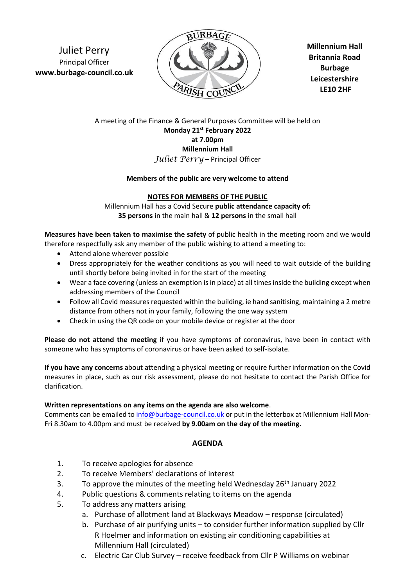Juliet Perry Principal Officer **www.burbage-council.co.uk**



**Millennium Hall Britannia Road Burbage Leicestershire LE10 2HF**

## A meeting of the Finance & General Purposes Committee will be held on **Monday 21st February 2022 at 7.00pm Millennium Hall** *Juliet Perry* – Principal Officer

#### **Members of the public are very welcome to attend**

### **NOTES FOR MEMBERS OF THE PUBLIC**

Millennium Hall has a Covid Secure **public attendance capacity of: 35 persons** in the main hall & **12 persons** in the small hall

**Measures have been taken to maximise the safety** of public health in the meeting room and we would therefore respectfully ask any member of the public wishing to attend a meeting to:

- Attend alone wherever possible
- Dress appropriately for the weather conditions as you will need to wait outside of the building until shortly before being invited in for the start of the meeting
- Wear a face covering (unless an exemption is in place) at all times inside the building except when addressing members of the Council
- Follow all Covid measures requested within the building, ie hand sanitising, maintaining a 2 metre distance from others not in your family, following the one way system
- Check in using the QR code on your mobile device or register at the door

**Please do not attend the meeting** if you have symptoms of coronavirus, have been in contact with someone who has symptoms of coronavirus or have been asked to self-isolate.

**If you have any concerns** about attending a physical meeting or require further information on the Covid measures in place, such as our risk assessment, please do not hesitate to contact the Parish Office for clarification.

#### **Written representations on any items on the agenda are also welcome**.

Comments can be emailed t[o info@burbage-council.co.uk](mailto:info@burbage-council.co.uk) or put in the letterbox at Millennium Hall Mon-Fri 8.30am to 4.00pm and must be received **by 9.00am on the day of the meeting.**

## **AGENDA**

- 1. To receive apologies for absence
- 2. To receive Members' declarations of interest
- 3. To approve the minutes of the meeting held Wednesday  $26<sup>th</sup>$  January 2022
- 4. Public questions & comments relating to items on the agenda
- 5. To address any matters arising
	- a. Purchase of allotment land at Blackways Meadow response (circulated)
	- b. Purchase of air purifying units to consider further information supplied by Cllr R Hoelmer and information on existing air conditioning capabilities at Millennium Hall (circulated)
	- c. Electric Car Club Survey receive feedback from Cllr P Williams on webinar